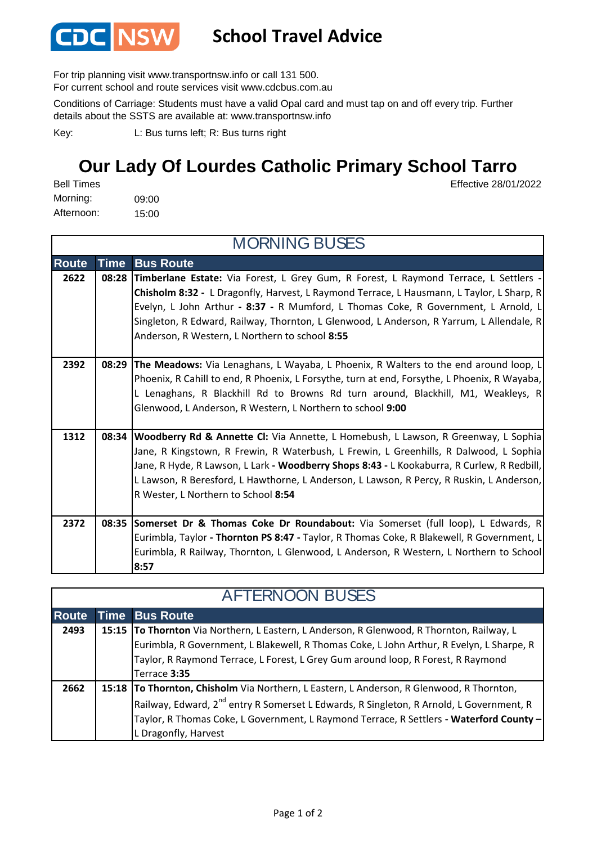

## **School Travel Advice**

For trip planning visit www.transportnsw.info or call 131 500.

For current school and route services visit www.cdcbus.com.au

Conditions of Carriage: Students must have a valid Opal card and must tap on and off every trip. Further details about the SSTS are available at: www.transportnsw.info

L: Bus turns left; R: Bus turns right Key:

## **Our Lady Of Lourdes Catholic Primary School Tarro**

Effective 28/01/2022

09:00 15:00 Afternoon: Bell Times Morning:

| <b>MORNING BUSES</b> |             |                                                                                                                                                                                        |  |  |  |
|----------------------|-------------|----------------------------------------------------------------------------------------------------------------------------------------------------------------------------------------|--|--|--|
| <b>Route</b>         | <b>Time</b> | <b>Bus Route</b>                                                                                                                                                                       |  |  |  |
| 2622                 | 08:28       | Timberlane Estate: Via Forest, L Grey Gum, R Forest, L Raymond Terrace, L Settlers -<br>Chisholm 8:32 - L Dragonfly, Harvest, L Raymond Terrace, L Hausmann, L Taylor, L Sharp, R      |  |  |  |
|                      |             | Evelyn, L John Arthur - 8:37 - R Mumford, L Thomas Coke, R Government, L Arnold, L                                                                                                     |  |  |  |
|                      |             | Singleton, R Edward, Railway, Thornton, L Glenwood, L Anderson, R Yarrum, L Allendale, R                                                                                               |  |  |  |
|                      |             | Anderson, R Western, L Northern to school 8:55                                                                                                                                         |  |  |  |
| 2392                 | 08:29       | The Meadows: Via Lenaghans, L Wayaba, L Phoenix, R Walters to the end around loop, L                                                                                                   |  |  |  |
|                      |             | Phoenix, R Cahill to end, R Phoenix, L Forsythe, turn at end, Forsythe, L Phoenix, R Wayaba,                                                                                           |  |  |  |
|                      |             | L Lenaghans, R Blackhill Rd to Browns Rd turn around, Blackhill, M1, Weakleys, R                                                                                                       |  |  |  |
|                      |             | Glenwood, L Anderson, R Western, L Northern to school 9:00                                                                                                                             |  |  |  |
|                      |             |                                                                                                                                                                                        |  |  |  |
| 1312                 | 08:34       | Woodberry Rd & Annette CI: Via Annette, L Homebush, L Lawson, R Greenway, L Sophia                                                                                                     |  |  |  |
|                      |             | Jane, R Kingstown, R Frewin, R Waterbush, L Frewin, L Greenhills, R Dalwood, L Sophia                                                                                                  |  |  |  |
|                      |             | Jane, R Hyde, R Lawson, L Lark - Woodberry Shops 8:43 - L Kookaburra, R Curlew, R Redbill,<br>L Lawson, R Beresford, L Hawthorne, L Anderson, L Lawson, R Percy, R Ruskin, L Anderson, |  |  |  |
|                      |             | R Wester, L Northern to School 8:54                                                                                                                                                    |  |  |  |
|                      |             |                                                                                                                                                                                        |  |  |  |
| 2372                 |             | 08:35 Somerset Dr & Thomas Coke Dr Roundabout: Via Somerset (full loop), L Edwards, R                                                                                                  |  |  |  |
|                      |             | Eurimbla, Taylor - Thornton PS 8:47 - Taylor, R Thomas Coke, R Blakewell, R Government, L                                                                                              |  |  |  |
|                      |             | Eurimbla, R Railway, Thornton, L Glenwood, L Anderson, R Western, L Northern to School<br>8:57                                                                                         |  |  |  |

| <b>AFTERNOON BUSES</b> |  |                                                                                                     |  |  |
|------------------------|--|-----------------------------------------------------------------------------------------------------|--|--|
| <b>Route</b>           |  | <b>Time Bus Route</b>                                                                               |  |  |
| 2493                   |  | 15:15   To Thornton Via Northern, L Eastern, L Anderson, R Glenwood, R Thornton, Railway, L         |  |  |
|                        |  | Eurimbla, R Government, L Blakewell, R Thomas Coke, L John Arthur, R Evelyn, L Sharpe, R            |  |  |
|                        |  | Taylor, R Raymond Terrace, L Forest, L Grey Gum around loop, R Forest, R Raymond                    |  |  |
|                        |  | Terrace 3:35                                                                                        |  |  |
| 2662                   |  | 15:18 To Thornton, Chisholm Via Northern, L Eastern, L Anderson, R Glenwood, R Thornton,            |  |  |
|                        |  | Railway, Edward, 2 <sup>nd</sup> entry R Somerset L Edwards, R Singleton, R Arnold, L Government, R |  |  |
|                        |  | Taylor, R Thomas Coke, L Government, L Raymond Terrace, R Settlers - Waterford County -             |  |  |
|                        |  | L Dragonfly, Harvest                                                                                |  |  |